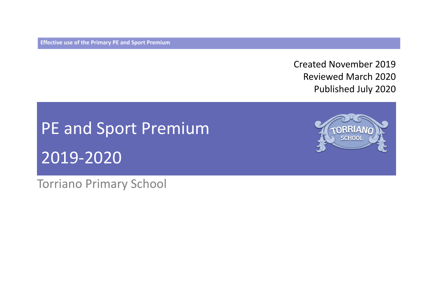**Effective use of the Primary PE and Sport Premium** 

Created November 2019 Reviewed March 2020 Published July 2020

# PE and Sport Premium 2019-2020

Torriano Primary School

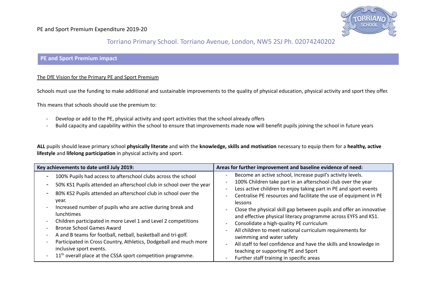

#### Torriano Primary School. Torriano Avenue, London, NW5 2SJ Ph. 02074240202

#### **PE and Sport Premium impact**

#### The DfE Vision for the Primary PE and Sport Premium

Schools must use the funding to make additional and sustainable improvements to the quality of physical education, physical activity and sport they offer.

This means that schools should use the premium to:

- Develop or add to the PE, physical activity and sport activities that the school already offers
- Build capacity and capability within the school to ensure that improvements made now will benefit pupils joining the school in future years

**ALL** pupils should leave primary school **physically literate** and with the **knowledge, skills and motivation** necessary to equip them for a **healthy, active lifestyle** and **lifelong participation** in physical activity and sport.

| Key achievements to date until July 2019:                                                                                                                                                                                                                                                                                                                                                                                                                                                                                                                          | Areas for further improvement and baseline evidence of need:                                                                                                                                                                                                                                                                                                                                                                                                                                                                                                                                                                                                              |
|--------------------------------------------------------------------------------------------------------------------------------------------------------------------------------------------------------------------------------------------------------------------------------------------------------------------------------------------------------------------------------------------------------------------------------------------------------------------------------------------------------------------------------------------------------------------|---------------------------------------------------------------------------------------------------------------------------------------------------------------------------------------------------------------------------------------------------------------------------------------------------------------------------------------------------------------------------------------------------------------------------------------------------------------------------------------------------------------------------------------------------------------------------------------------------------------------------------------------------------------------------|
| 100% Pupils had access to afterschool clubs across the school<br>50% KS1 Pupils attended an afterschool club in school over the year<br>80% KS2 Pupils attended an afterschool club in school over the<br>vear.<br>Increased number of pupils who are active during break and<br>lunchtimes<br>Children participated in more Level 1 and Level 2 competitions<br><b>Bronze School Games Award</b><br>A and B teams for football, netball, basketball and tri-golf.<br>Participated in Cross Country, Athletics, Dodgeball and much more<br>inclusive sport events. | Become an active school, increase pupil's activity levels.<br>100% Children take part in an afterschool club over the year<br>Less active children to enjoy taking part in PE and sport events<br>Centralise PE resources and facilitate the use of equipment in PE<br>lessons<br>Close the physical skill gap between pupils and offer an innovative<br>and effective physical literacy programme across EYFS and KS1.<br>Consolidate a high-quality PE curriculum<br>All children to meet national curriculum requirements for<br>swimming and water safety<br>All staff to feel confidence and have the skills and knowledge in<br>teaching or supporting PE and Sport |
| $11th$ overall place at the CSSA sport competition programme.                                                                                                                                                                                                                                                                                                                                                                                                                                                                                                      | Further staff training in specific areas                                                                                                                                                                                                                                                                                                                                                                                                                                                                                                                                                                                                                                  |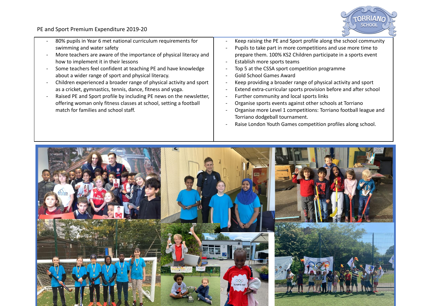

- 80% pupils in Year 6 met national curriculum requirements for swimming and water safety
- More teachers are aware of the importance of physical literacy and how to implement it in their lessons
- Some teachers feel confident at teaching PE and have knowledge about a wider range of sport and physical literacy.
- Children experienced a broader range of physical activity and sport as a cricket, gymnastics, tennis, dance, fitness and yoga.
- Raised PE and Sport profile by including PE news on the newsletter, offering woman only fitness classes at school, setting a football match for families and school staff.
- Keep raising the PE and Sport profile along the school community
- Pupils to take part in more competitions and use more time to prepare them. 100% KS2 Children participate in a sports event
- Establish more sports teams
- Top 5 at the CSSA sport competition programme
- Gold School Games Award
- Keep providing a broader range of physical activity and sport
- Extend extra-curricular sports provision before and after school
- Further community and local sports links
- Organise sports events against other schools at Torriano
- Organise more Level 1 competitions: Torriano football league and Torriano dodgeball tournament.
- Raise London Youth Games competition profiles along school.

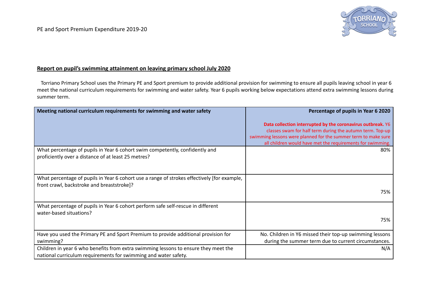

#### **Report on pupil's swimming attainment on leaving primary school July 2020**

Torriano Primary School uses the Primary PE and Sport premium to provide additional provision for swimming to ensure all pupils leaving school in year 6 meet the national curriculum requirements for swimming and water safety. Year 6 pupils working below expectations attend extra swimming lessons during summer term.

| Meeting national curriculum requirements for swimming and water safety                                                                                 | Percentage of pupils in Year 6 2020                                                                                                                                                                                                                      |
|--------------------------------------------------------------------------------------------------------------------------------------------------------|----------------------------------------------------------------------------------------------------------------------------------------------------------------------------------------------------------------------------------------------------------|
|                                                                                                                                                        | Data collection interrupted by the coronavirus outbreak. Y6<br>classes swam for half term during the autumn term. Top-up<br>swimming lessons were planned for the summer term to make sure<br>all children would have met the requirements for swimming. |
| What percentage of pupils in Year 6 cohort swim competently, confidently and<br>proficiently over a distance of at least 25 metres?                    | 80%                                                                                                                                                                                                                                                      |
| What percentage of pupils in Year 6 cohort use a range of strokes effectively [for example,<br>front crawl, backstroke and breaststroke]?              | 75%                                                                                                                                                                                                                                                      |
| What percentage of pupils in Year 6 cohort perform safe self-rescue in different<br>water-based situations?                                            | 75%                                                                                                                                                                                                                                                      |
| Have you used the Primary PE and Sport Premium to provide additional provision for<br>swimming?                                                        | No. Children in Y6 missed their top-up swimming lessons<br>during the summer term due to current circumstances.                                                                                                                                          |
| Children in year 6 who benefits from extra swimming lessons to ensure they meet the<br>national curriculum requirements for swimming and water safety. | N/A                                                                                                                                                                                                                                                      |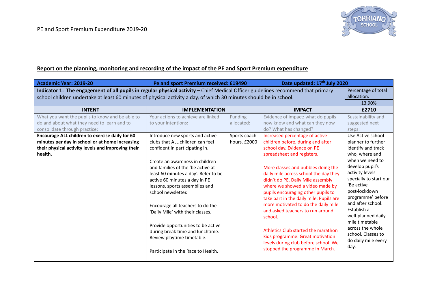

#### **Report on the planning, monitoring and recording of the impact of the PE and Sport Premium expenditure**

| Academic Year: 2019-20                                                                                                                                                                                                                                                                       | Pe and sport Premium received: £19490                                                                                                                                                                                                                                                                                                                                                                                                                                                             |                                       | Date updated: 17th July 2020                                                                                                                                                                                                                                                                                                                                                                                                                                                                                                                                                      |                                                                                                                                                                                                                                                                                                                                                        |  |
|----------------------------------------------------------------------------------------------------------------------------------------------------------------------------------------------------------------------------------------------------------------------------------------------|---------------------------------------------------------------------------------------------------------------------------------------------------------------------------------------------------------------------------------------------------------------------------------------------------------------------------------------------------------------------------------------------------------------------------------------------------------------------------------------------------|---------------------------------------|-----------------------------------------------------------------------------------------------------------------------------------------------------------------------------------------------------------------------------------------------------------------------------------------------------------------------------------------------------------------------------------------------------------------------------------------------------------------------------------------------------------------------------------------------------------------------------------|--------------------------------------------------------------------------------------------------------------------------------------------------------------------------------------------------------------------------------------------------------------------------------------------------------------------------------------------------------|--|
| Indicator 1: The engagement of all pupils in regular physical activity - Chief Medical Officer guidelines recommend that primary<br>Percentage of total<br>allocation:<br>school children undertake at least 60 minutes of physical activity a day, of which 30 minutes should be in school. |                                                                                                                                                                                                                                                                                                                                                                                                                                                                                                   |                                       |                                                                                                                                                                                                                                                                                                                                                                                                                                                                                                                                                                                   |                                                                                                                                                                                                                                                                                                                                                        |  |
| <b>INTENT</b>                                                                                                                                                                                                                                                                                | <b>IMPLEMENTATION</b>                                                                                                                                                                                                                                                                                                                                                                                                                                                                             |                                       | <b>IMPACT</b>                                                                                                                                                                                                                                                                                                                                                                                                                                                                                                                                                                     | £2710                                                                                                                                                                                                                                                                                                                                                  |  |
| What you want the pupils to know and be able to<br>do and about what they need to learn and to<br>consolidate through practice:<br>Encourage ALL children to exercise daily for 60                                                                                                           | Your actions to achieve are linked<br>to your intentions:<br>Introduce new sports and active                                                                                                                                                                                                                                                                                                                                                                                                      | Funding<br>allocated:<br>Sports coach | Evidence of impact: what do pupils<br>now know and what can they now<br>do? What has changed?<br>Increased percentage of active                                                                                                                                                                                                                                                                                                                                                                                                                                                   | Sustainability and<br>suggested next<br>steps:<br>Use Active school                                                                                                                                                                                                                                                                                    |  |
| minutes per day in school or at home increasing<br>their physical activity levels and improving their<br>health.                                                                                                                                                                             | clubs that ALL children can feel<br>confident in participating in.<br>Create an awareness in children<br>and families of the 'be active at<br>least 60 minutes a day'. Refer to be<br>active 60 minutes a day in PE<br>lessons, sports assemblies and<br>school newsletter.<br>Encourage all teachers to do the<br>'Daily Mile' with their classes.<br>Provide opportunities to be active<br>during break time and lunchtime.<br>Review playtime timetable.<br>Participate in the Race to Health. | hours. £2000                          | children before, during and after<br>school day. Evidence on PE<br>spreadsheet and registers.<br>More classes and bubbles doing the<br>daily mile across school the day they<br>didn't do PE. Daily Mile assembly<br>where we showed a video made by<br>pupils encouraging other pupils to<br>take part in the daily mile. Pupils are<br>more motivated to do the daily mile<br>and asked teachers to run around<br>school.<br>Athletics Club started the marathon<br>kids programme. Great motivation<br>levels during club before school. We<br>stopped the programme in March. | planner to further<br>identify and track<br>who, where and<br>when we need to<br>develop pupil's<br>activity levels<br>specially to start our<br>'Be active<br>post-lockdown<br>programme' before<br>and after school.<br>Establish a<br>well-planned daily<br>mile timetable<br>across the whole<br>school. Classes to<br>do daily mile every<br>day. |  |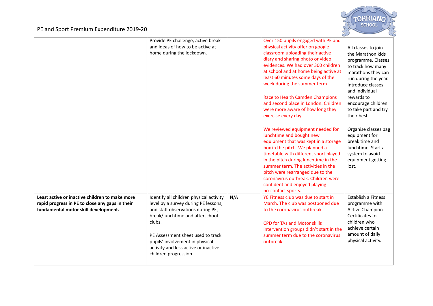

|                                                                                                                                           | Provide PE challenge, active break<br>and ideas of how to be active at<br>home during the lockdown.                                                                                                    |     | Over 150 pupils engaged with PE and<br>physical activity offer on google<br>classroom uploading their active<br>diary and sharing photo or video<br>evidences. We had over 300 children<br>at school and at home being active at<br>least 60 minutes some days of the<br>week during the summer term.<br>Race to Health Camden Champions<br>and second place in London. Children                | All classes to join<br>the Marathon kids<br>programme. Classes<br>to track how many<br>marathons they can<br>run during the year.<br>Introduce classes<br>and individual<br>rewards to<br>encourage children |
|-------------------------------------------------------------------------------------------------------------------------------------------|--------------------------------------------------------------------------------------------------------------------------------------------------------------------------------------------------------|-----|-------------------------------------------------------------------------------------------------------------------------------------------------------------------------------------------------------------------------------------------------------------------------------------------------------------------------------------------------------------------------------------------------|--------------------------------------------------------------------------------------------------------------------------------------------------------------------------------------------------------------|
|                                                                                                                                           |                                                                                                                                                                                                        |     | were more aware of how long they<br>exercise every day.                                                                                                                                                                                                                                                                                                                                         | to take part and try<br>their best.                                                                                                                                                                          |
|                                                                                                                                           |                                                                                                                                                                                                        |     | We reviewed equipment needed for<br>lunchtime and bought new<br>equipment that was kept in a storage<br>box in the pitch. We planned a<br>timetable with different sport played<br>in the pitch during lunchtime in the<br>summer term. The activities in the<br>pitch were rearranged due to the<br>coronavirus outbreak. Children were<br>confident and enjoyed playing<br>no-contact sports. | Organise classes bag<br>equipment for<br>break time and<br>lunchtime. Start a<br>system to avoid<br>equipment getting<br>lost.                                                                               |
| Least active or inactive children to make more<br>rapid progress in PE to close any gaps in their<br>fundamental motor skill development. | Identify all children physical activity<br>level by a survey during PE lessons,<br>and staff observations during PE,<br>break/lunchtime and afterschool<br>clubs.<br>PE Assessment sheet used to track | N/A | Y6 Fitness club was due to start in<br>March. The club was postponed due<br>to the coronavirus outbreak.<br><b>CPD for TAs and Motor skills</b><br>intervention groups didn't start in the<br>summer term due to the coronavirus                                                                                                                                                                | Establish a Fitness<br>programme with<br><b>Active Champion</b><br>Certificates to<br>children who<br>achieve certain<br>amount of daily                                                                     |
|                                                                                                                                           | pupils' involvement in physical<br>activity and less active or inactive<br>children progression.                                                                                                       |     | outbreak.                                                                                                                                                                                                                                                                                                                                                                                       | physical activity.                                                                                                                                                                                           |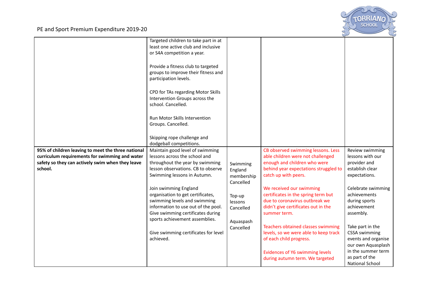

|                                                    | Targeted children to take part in at<br>least one active club and inclusive<br>or S4A competition a year.<br>Provide a fitness club to targeted<br>groups to improve their fitness and<br>participation levels.<br>CPD for TAs regarding Motor Skills<br>Intervention Groups across the<br>school. Cancelled. |                         |                                       |                        |
|----------------------------------------------------|---------------------------------------------------------------------------------------------------------------------------------------------------------------------------------------------------------------------------------------------------------------------------------------------------------------|-------------------------|---------------------------------------|------------------------|
|                                                    | Run Motor Skills Intervention<br>Groups. Cancelled.<br>Skipping rope challenge and                                                                                                                                                                                                                            |                         |                                       |                        |
|                                                    | dodgeball competitions.                                                                                                                                                                                                                                                                                       |                         |                                       |                        |
| 95% of children leaving to meet the three national | Maintain good level of swimming                                                                                                                                                                                                                                                                               |                         | CB observed swimming lessons. Less    | Review swimming        |
| curriculum requirements for swimming and water     | lessons across the school and                                                                                                                                                                                                                                                                                 |                         | able children were not challenged     | lessons with our       |
| safety so they can actively swim when they leave   | throughout the year by swimming                                                                                                                                                                                                                                                                               | Swimming                | enough and children who were          | provider and           |
| school.                                            | lesson observations. CB to observe                                                                                                                                                                                                                                                                            | England                 | behind year expectations struggled to | establish clear        |
|                                                    | Swimming lessons in Autumn.                                                                                                                                                                                                                                                                                   | membership<br>Cancelled | catch up with peers.                  | expectations.          |
|                                                    | Join swimming England                                                                                                                                                                                                                                                                                         |                         | We received our swimming              | Celebrate swimming     |
|                                                    | organisation to get certificates,                                                                                                                                                                                                                                                                             | Top-up                  | certificates in the spring term but   | achievements           |
|                                                    | swimming levels and swimming                                                                                                                                                                                                                                                                                  | lessons                 | due to coronavirus outbreak we        | during sports          |
|                                                    | information to use out of the pool.                                                                                                                                                                                                                                                                           | Cancelled               | didn't give certificates out in the   | achievement            |
|                                                    | Give swimming certificates during                                                                                                                                                                                                                                                                             |                         | summer term.                          | assembly.              |
|                                                    | sports achievement assemblies.                                                                                                                                                                                                                                                                                | Aquaspash               |                                       |                        |
|                                                    |                                                                                                                                                                                                                                                                                                               | Cancelled               | Teachers obtained classes swimming    | Take part in the       |
|                                                    | Give swimming certificates for level                                                                                                                                                                                                                                                                          |                         | levels, so we were able to keep track | <b>CSSA swimming</b>   |
|                                                    | achieved.                                                                                                                                                                                                                                                                                                     |                         | of each child progress.               | events and organise    |
|                                                    |                                                                                                                                                                                                                                                                                                               |                         |                                       | our own Aquasplash     |
|                                                    |                                                                                                                                                                                                                                                                                                               |                         | Evidences of Y6 swimming levels       | in the summer term     |
|                                                    |                                                                                                                                                                                                                                                                                                               |                         | during autumn term. We targeted       | as part of the         |
|                                                    |                                                                                                                                                                                                                                                                                                               |                         |                                       | <b>National School</b> |
|                                                    |                                                                                                                                                                                                                                                                                                               |                         |                                       |                        |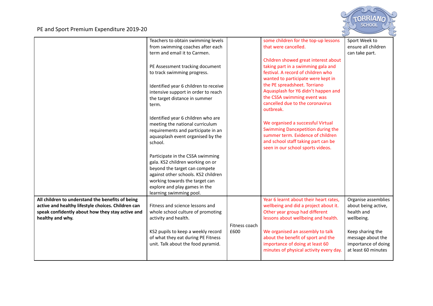

|                                                    | Teachers to obtain swimming levels    |               | some children for the top-up lessons    | Sport Week to       |
|----------------------------------------------------|---------------------------------------|---------------|-----------------------------------------|---------------------|
|                                                    | from swimming coaches after each      |               | that were cancelled.                    | ensure all children |
|                                                    | term and email it to Carmen.          |               |                                         | can take part.      |
|                                                    |                                       |               | Children showed great interest about    |                     |
|                                                    | PE Assessment tracking document       |               | taking part in a swimming gala and      |                     |
|                                                    | to track swimming progress.           |               | festival. A record of children who      |                     |
|                                                    |                                       |               | wanted to participate were kept in      |                     |
|                                                    | Identified year 6 children to receive |               | the PE spreadsheet. Torriano            |                     |
|                                                    | intensive support in order to reach   |               | Aquasplash for Y6 didn't happen and     |                     |
|                                                    |                                       |               | the CSSA swimming event was             |                     |
|                                                    | the target distance in summer         |               | cancelled due to the coronavirus        |                     |
|                                                    | term.                                 |               | outbreak.                               |                     |
|                                                    |                                       |               |                                         |                     |
|                                                    | Identified year 6 children who are    |               |                                         |                     |
|                                                    | meeting the national curriculum       |               | We organised a successful Virtual       |                     |
|                                                    | requirements and participate in an    |               | Swimming Dancepetition during the       |                     |
|                                                    | aquasplash event organised by the     |               | summer term. Evidence of children       |                     |
|                                                    | school.                               |               | and school staff taking part can be     |                     |
|                                                    |                                       |               | seen in our school sports videos.       |                     |
|                                                    | Participate in the CSSA swimming      |               |                                         |                     |
|                                                    | gala. KS2 children working on or      |               |                                         |                     |
|                                                    | beyond the target can compete         |               |                                         |                     |
|                                                    | against other schools. KS2 children   |               |                                         |                     |
|                                                    | working towards the target can        |               |                                         |                     |
|                                                    |                                       |               |                                         |                     |
|                                                    | explore and play games in the         |               |                                         |                     |
|                                                    | learning swimming pool.               |               |                                         |                     |
| All children to understand the benefits of being   |                                       |               | Year 6 learnt about their heart rates,  | Organise assemblies |
| active and healthy lifestyle choices. Children can | Fitness and science lessons and       |               | wellbeing and did a project about it.   | about being active, |
| speak confidently about how they stay active and   | whole school culture of promoting     |               | Other year group had different          | health and          |
| healthy and why.                                   | activity and health.                  |               | lessons about wellbeing and health.     | wellbeing.          |
|                                                    |                                       | Fitness coach |                                         |                     |
|                                                    | KS2 pupils to keep a weekly record    | £600          | We organised an assembly to talk        | Keep sharing the    |
|                                                    | of what they eat during PE Fitness    |               | about the benefit of sport and the      | message about the   |
|                                                    | unit. Talk about the food pyramid.    |               | importance of doing at least 60         | importance of doing |
|                                                    |                                       |               | minutes of physical activity every day. | at least 60 minutes |
|                                                    |                                       |               |                                         |                     |
|                                                    |                                       |               |                                         |                     |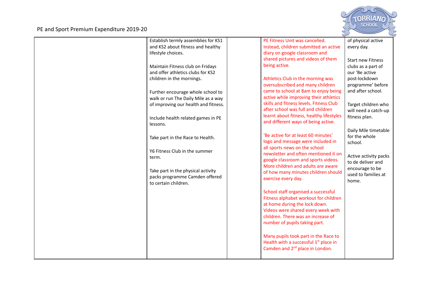

| Establish termly assemblies for KS1  | PE Fitness Unit was cancelled.                    | of physical active       |
|--------------------------------------|---------------------------------------------------|--------------------------|
| and KS2 about fitness and healthy    | Instead, children submitted an active             | every day.               |
| lifestyle choices.                   | diary on google classroom and                     |                          |
|                                      | shared pictures and videos of them                |                          |
|                                      |                                                   | <b>Start new Fitness</b> |
| Maintain Fitness club on Fridays     | being active.                                     | clubs as a part of       |
| and offer athletics clubs for KS2    |                                                   | our 'Be active           |
| children in the mornings.            | Athletics Club in the morning was                 | post-lockdown            |
|                                      | oversubscribed and many children                  | programme' before        |
| Further encourage whole school to    | came to school at 8am to enjoy being              | and after school.        |
| walk or run The Daily Mile as a way  | active while improving their athletics            |                          |
| of improving our health and fitness. | skills and fitness levels. Fitness Club           | Target children who      |
|                                      | after school was full and children                | will need a catch-up     |
| Include health related games in PE   | learnt about fitness, healthy lifestyles          | fitness plan.            |
| lessons.                             | and different ways of being active.               |                          |
|                                      |                                                   | Daily Mile timetable     |
|                                      | 'Be active for at least 60 minutes'               | for the whole            |
| Take part in the Race to Health.     | logo and message were included in                 |                          |
|                                      | all sports news on the school                     | school.                  |
| Y6 Fitness Club in the summer        | newsletter and often mentioned it on              |                          |
| term.                                | google classroom and sports videos.               | Active activity packs    |
|                                      | More children and adults are aware                | to de deliver and        |
| Take part in the physical activity   | of how many minutes children should               | encourage to be          |
| packs programme Camden offered       |                                                   | used to families at      |
| to certain children.                 | exercise every day.                               | home.                    |
|                                      |                                                   |                          |
|                                      | School staff organised a successful               |                          |
|                                      | Fitness alphabet workout for children             |                          |
|                                      | at home during the lock down.                     |                          |
|                                      | Videos were shared every week with                |                          |
|                                      | children. There was an increase of                |                          |
|                                      | number of pupils taking part.                     |                          |
|                                      |                                                   |                          |
|                                      | Many pupils took part in the Race to              |                          |
|                                      | Health with a successful 1 <sup>st</sup> place in |                          |
|                                      | Camden and 2 <sup>nd</sup> place in London.       |                          |
|                                      |                                                   |                          |
|                                      |                                                   |                          |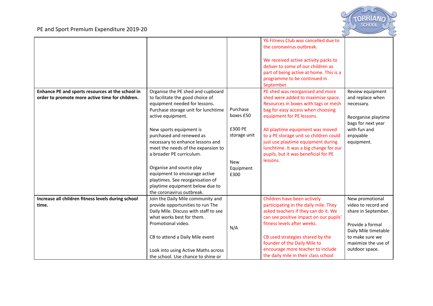

|                                                    |                                       |              | Y6 Fitness Club was cancelled due to    |                      |
|----------------------------------------------------|---------------------------------------|--------------|-----------------------------------------|----------------------|
|                                                    |                                       |              | the coronavirus outbreak.               |                      |
|                                                    |                                       |              |                                         |                      |
|                                                    |                                       |              | We received active activity packs to    |                      |
|                                                    |                                       |              | deliver to some of our children as      |                      |
|                                                    |                                       |              | part of being active at home. This is a |                      |
|                                                    |                                       |              |                                         |                      |
|                                                    |                                       |              | programme to be continued in            |                      |
|                                                    |                                       |              | September.                              |                      |
| Enhance PE and sports resources at the school in   | Organise the PE shed and cupboard     |              | PE shed was reorganised and more        | Review equipment     |
| order to promote more active time for children.    | to facilitate the good choice of      |              | shed were added to maximise space.      | and replace when     |
|                                                    | equipment needed for lessons.         |              | Resources in boxes with tags or mesh    | necessary.           |
|                                                    | Purchase storage unit for lunchtime   | Purchase     | bag for easy access when choosing       |                      |
|                                                    | active equipment.                     | boxes £50    | equipment for PE lessons.               | Reorganise playtime  |
|                                                    |                                       |              |                                         | bags for next year   |
|                                                    | New sports equipment is               | £300 PE      | All playtime equipment was moved        | with fun and         |
|                                                    |                                       | storage unit |                                         |                      |
|                                                    | purchased and renewed as              |              | to a PE storage unit so children could  | enjoyable            |
|                                                    | necessary to enhance lessons and      |              | just use playtime equipment during      | equipment.           |
|                                                    | meet the needs of the expansion to    |              | lunchtime. It was a big change for our  |                      |
|                                                    | a broader PE curriculum.              |              | pupils, but it was beneficial for PE    |                      |
|                                                    |                                       | <b>New</b>   | lessons.                                |                      |
|                                                    | Organise and source play              | Equipment    |                                         |                      |
|                                                    | equipment to encourage active         | £300         |                                         |                      |
|                                                    | playtimes. See reorganisation of      |              |                                         |                      |
|                                                    | playtime equipment below due to       |              |                                         |                      |
|                                                    | the coronavirus outbreak.             |              |                                         |                      |
| Increase all children fitness levels during school | Join the Daily Mile community and     |              | Children have been actively             | New promotional      |
| time.                                              | provide opportunities to run The      |              | participating in the daily mile. They   | video to record and  |
|                                                    | Daily Mile. Discuss with staff to see |              | asked teachers if they can do it. We    | share in September.  |
|                                                    | what works best for them.             |              | can see positive impact on our pupils'  |                      |
|                                                    | Promotional video.                    |              | fitness levels after weeks.             |                      |
|                                                    |                                       | N/A          |                                         | Provide a formal     |
|                                                    |                                       |              |                                         | Daily Mile timetable |
|                                                    | CB to attend a Daily Mile event       |              | CB used strategies shared by the        | to make sure we      |
|                                                    |                                       |              | founder of the Daily Mile to            | maximize the use of  |
|                                                    | Look into using Active Maths across   |              | encourage more teacher to include       | outdoor space.       |
|                                                    | the school. Use chance to shine or    |              | the daily mile in their class school    |                      |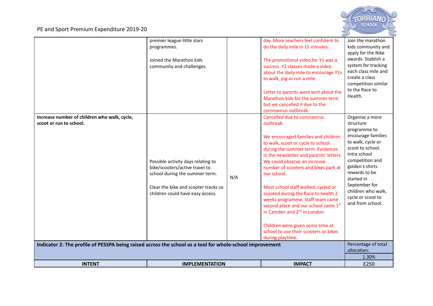

|                                                                                                                                                                                     | premier league little stars<br>programmes.<br>Joined the Marathon kids<br>community and challenges.                                                                                |     | day. More teachers feel confident to<br>do the daily mile in 15 minutes.<br>The promotional video for Y1 was a<br>success. Y2 classes made a video<br>about the daily mile to encourage Y1s<br>to walk, jog or run a mile.<br>Letter to parents were sent about the<br>Marathon kids for the summer term<br>but we cancelled it due to the<br>coronavirus outbreak.                                                                                                                                                                                                                                 | Join the marathon<br>kids community and<br>apply for the Nike<br>awards. Stablish a<br>system for tracking<br>each class mile and<br>create a class<br>competition similar<br>to the Race to<br>Health.                                                                                                                |
|-------------------------------------------------------------------------------------------------------------------------------------------------------------------------------------|------------------------------------------------------------------------------------------------------------------------------------------------------------------------------------|-----|-----------------------------------------------------------------------------------------------------------------------------------------------------------------------------------------------------------------------------------------------------------------------------------------------------------------------------------------------------------------------------------------------------------------------------------------------------------------------------------------------------------------------------------------------------------------------------------------------------|------------------------------------------------------------------------------------------------------------------------------------------------------------------------------------------------------------------------------------------------------------------------------------------------------------------------|
| Increase number of children who walk, cycle,<br>scoot or run to school.<br>Indicator 2: The profile of PESSPA being raised across the school as a tool for whole-school improvement | Possible activity days relating to<br>bike/scooters/active travel to<br>school during the summer term.<br>Clear the bike and scooter tracks so<br>children could have easy access. | N/A | Cancelled due to coronavirus<br>outbreak.<br>We encouraged families and children<br>to walk, scoot or cycle to school<br>during the summer term. Evidences<br>in the newsletter and parents' letters.<br>We could observe an increase<br>number of scooters and bikes park at<br>our school.<br>Most school staff walked, cycled or<br>scooted during the Race to health 2<br>weeks programme. Staff team came<br>second place and our school came 1st<br>in Camden and 2 <sup>nd</sup> in London.<br>Children were given some time at<br>school to use their scooters or bikes<br>during playtime. | Organise a more<br>structure<br>programme to<br>encourage families<br>to walk, cycle or<br>scoot to school.<br>Intra school<br>competition and<br>golden t-shirts<br>rewards to be<br>started in<br>September for<br>children who walk,<br>cycle or scoot to<br>and from school.<br>Percentage of total<br>allocation: |
|                                                                                                                                                                                     |                                                                                                                                                                                    |     |                                                                                                                                                                                                                                                                                                                                                                                                                                                                                                                                                                                                     | 1.30%                                                                                                                                                                                                                                                                                                                  |
| <b>INTENT</b>                                                                                                                                                                       | <b>IMPLEMENTATION</b>                                                                                                                                                              |     | <b>IMPACT</b>                                                                                                                                                                                                                                                                                                                                                                                                                                                                                                                                                                                       | £250                                                                                                                                                                                                                                                                                                                   |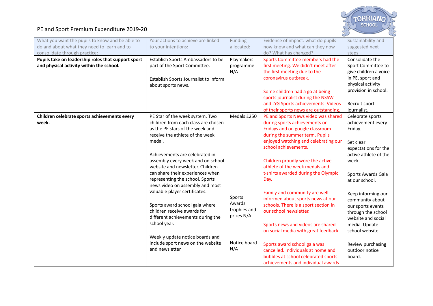

| What you want the pupils to know and be able to<br>do and about what they need to learn and to<br>consolidate through practice: | Your actions to achieve are linked<br>to your intentions:                                                                                                                                                                                                                                                                                                                                                                                                                                                                                                                                                                     | Funding<br>allocated:                                                                | Evidence of impact: what do pupils<br>now know and what can they now<br>do? What has changed?                                                                                                                                                                                                                                                                                                                                                                                                                                                                                                                                                                                                          | Sustainability and<br>suggested next<br>steps                                                                                                                                                                                                                                                                                                                  |
|---------------------------------------------------------------------------------------------------------------------------------|-------------------------------------------------------------------------------------------------------------------------------------------------------------------------------------------------------------------------------------------------------------------------------------------------------------------------------------------------------------------------------------------------------------------------------------------------------------------------------------------------------------------------------------------------------------------------------------------------------------------------------|--------------------------------------------------------------------------------------|--------------------------------------------------------------------------------------------------------------------------------------------------------------------------------------------------------------------------------------------------------------------------------------------------------------------------------------------------------------------------------------------------------------------------------------------------------------------------------------------------------------------------------------------------------------------------------------------------------------------------------------------------------------------------------------------------------|----------------------------------------------------------------------------------------------------------------------------------------------------------------------------------------------------------------------------------------------------------------------------------------------------------------------------------------------------------------|
| Pupils take on leadership roles that support sport<br>and physical activity within the school.                                  | Establish Sports Ambassadors to be<br>part of the Sport Committee.<br>Establish Sports Journalist to inform<br>about sports news.                                                                                                                                                                                                                                                                                                                                                                                                                                                                                             | Playmakers<br>programme<br>N/A                                                       | Sports Committee members had the<br>first meeting. We didn't meet after<br>the first meeting due to the<br>coronavirus outbreak.<br>Some children had a go at being<br>sports journalist during the NSSW<br>and LYG Sports achievements. Videos<br>of their sports news are outstanding.                                                                                                                                                                                                                                                                                                                                                                                                               | Consolidate the<br>Sport Committee to<br>give children a voice<br>in PE, sport and<br>physical activity<br>provision in school.<br>Recruit sport<br>journalist.                                                                                                                                                                                                |
| Children celebrate sports achievements every<br>week.                                                                           | PE Star of the week system. Two<br>children from each class are chosen<br>as the PE stars of the week and<br>receive the athlete of the week<br>medal.<br>Achievements are celebrated in<br>assembly every week and on school<br>website and newsletter. Children<br>can share their experiences when<br>representing the school. Sports<br>news video on assembly and most<br>valuable player certificates.<br>Sports award school gala where<br>children receive awards for<br>different achievements during the<br>school year.<br>Weekly update notice boards and<br>include sport news on the website<br>and newsletter. | Medals £250<br>Sports<br>Awards<br>trophies and<br>prizes N/A<br>Notice board<br>N/A | PE and Sports News video was shared<br>during sports achievements on<br>Fridays and on google classroom<br>during the summer term. Pupils<br>enjoyed watching and celebrating our<br>school achievements.<br>Children proudly wore the active<br>athlete of the week medals and<br>t-shirts awarded during the Olympic<br>Day.<br>Family and community are well<br>informed about sports news at our<br>schools. There is a sport section in<br>our school newsletter.<br>Sports news and videos are shared<br>on social media with great feedback.<br>Sports award school gala was<br>cancelled. Individuals at home and<br>bubbles at school celebrated sports<br>achievements and individual awards | Celebrate sports<br>achievement every<br>Friday.<br>Set clear<br>expectations for the<br>active athlete of the<br>week.<br>Sports Awards Gala<br>at our school.<br>Keep informing our<br>community about<br>our sports events<br>through the school<br>website and social<br>media. Update<br>school website.<br>Review purchasing<br>outdoor notice<br>board. |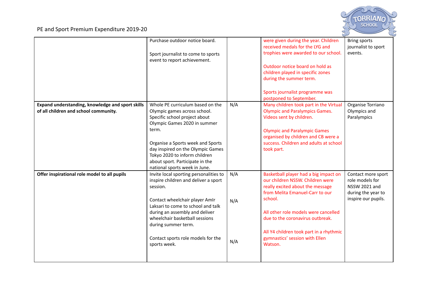

|                                                                                           | Purchase outdoor notice board.<br>Sport journalist to come to sports<br>event to report achievement.                                                                                                                                                                                                                |                   | were given during the year. Children<br>received medals for the LYG and<br>trophies were awarded to our school.<br>Outdoor notice board on hold as<br>children played in specific zones<br>during the summer term.<br>Sports journalist programme was                                                                           | <b>Bring sports</b><br>journalist to sport<br>events.                                                      |
|-------------------------------------------------------------------------------------------|---------------------------------------------------------------------------------------------------------------------------------------------------------------------------------------------------------------------------------------------------------------------------------------------------------------------|-------------------|---------------------------------------------------------------------------------------------------------------------------------------------------------------------------------------------------------------------------------------------------------------------------------------------------------------------------------|------------------------------------------------------------------------------------------------------------|
|                                                                                           | Whole PE curriculum based on the                                                                                                                                                                                                                                                                                    | N/A               | postponed to September.<br>Many children took part in the Virtual                                                                                                                                                                                                                                                               |                                                                                                            |
| Expand understanding, knowledge and sport skills<br>of all children and school community. | Olympic games across school.<br>Specific school project about<br>Olympic Games 2020 in summer<br>term.<br>Organise a Sports week and Sports<br>day inspired on the Olympic Games<br>Tokyo 2020 to inform children<br>about sport. Participate in the<br>national sports week in June.                               |                   | <b>Olympic and Paralympics Games.</b><br>Videos sent by children.<br><b>Olympic and Paralympic Games</b><br>organised by children and CB were a<br>success. Children and adults at school<br>took part.                                                                                                                         | Organise Torriano<br>Olympics and<br>Paralympics                                                           |
| Offer inspirational role model to all pupils                                              | Invite local sporting personalities to<br>inspire children and deliver a sport<br>session.<br>Contact wheelchair player AmIr<br>Laksari to come to school and talk<br>during an assembly and deliver<br>wheelchair basketball sessions<br>during summer term.<br>Contact sports role models for the<br>sports week. | N/A<br>N/A<br>N/A | Basketball player had a big impact on<br>our children NSSW. Children were<br>really excited about the message<br>from Melita Emanuel-Carr to our<br>school.<br>All other role models were cancelled<br>due to the coronavirus outbreak.<br>All Y4 children took part in a rhythmic<br>gymnastics' session with Ellen<br>Watson. | Contact more sport<br>role models for<br><b>NSSW 2021 and</b><br>during the year to<br>inspire our pupils. |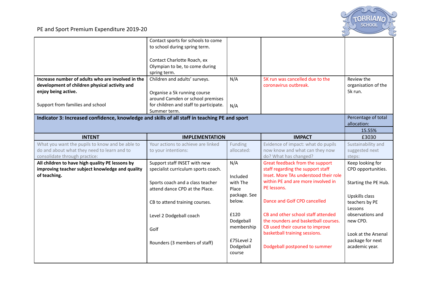

| Increase number of adults who are involved in the<br>development of children physical activity and<br>enjoy being active.<br>Support from families and school | Contact sports for schools to come<br>to school during spring term.<br>Contact Charlotte Roach, ex<br>Olympian to be, to come during<br>spring term.<br>Children and adults' surveys.<br>Organise a 5k running course<br>around Camden or school premises<br>for children and staff to participate.<br>Summer term. | N/A<br>N/A           | 5K run was cancelled due to the<br>coronavirus outbreak.             | Review the<br>organisation of the<br>5k run. |
|---------------------------------------------------------------------------------------------------------------------------------------------------------------|---------------------------------------------------------------------------------------------------------------------------------------------------------------------------------------------------------------------------------------------------------------------------------------------------------------------|----------------------|----------------------------------------------------------------------|----------------------------------------------|
| Indicator 3: Increased confidence, knowledge and skills of all staff in teaching PE and sport                                                                 |                                                                                                                                                                                                                                                                                                                     |                      |                                                                      | Percentage of total<br>allocation:           |
|                                                                                                                                                               |                                                                                                                                                                                                                                                                                                                     |                      |                                                                      | 15.55%                                       |
| <b>INTENT</b>                                                                                                                                                 | <b>IMPLEMENTATION</b>                                                                                                                                                                                                                                                                                               |                      | <b>IMPACT</b>                                                        | £3030                                        |
| What you want the pupils to know and be able to                                                                                                               | Your actions to achieve are linked                                                                                                                                                                                                                                                                                  | Funding              | Evidence of impact: what do pupils                                   | Sustainability and                           |
| do and about what they need to learn and to                                                                                                                   | to your intentions:                                                                                                                                                                                                                                                                                                 | allocated:           | now know and what can they now                                       | suggested next                               |
| consolidate through practice:                                                                                                                                 |                                                                                                                                                                                                                                                                                                                     |                      | do? What has changed?                                                | steps:                                       |
| All children to have high quality PE lessons by                                                                                                               | Support staff INSET with new                                                                                                                                                                                                                                                                                        | N/A                  | Great feedback from the support<br>staff regarding the support staff | Keep looking for                             |
| improving teacher subject knowledge and quality<br>of teaching.                                                                                               | specialist curriculum sports coach.                                                                                                                                                                                                                                                                                 |                      | Inset. More TAs understood their role                                | CPD opportunities.                           |
|                                                                                                                                                               | Sports coach and a class teacher                                                                                                                                                                                                                                                                                    | Included<br>with The | within PE and are more involved in                                   |                                              |
|                                                                                                                                                               | attend dance CPD at the Place.                                                                                                                                                                                                                                                                                      | Place                | PE lessons.                                                          | Starting the PE Hub.                         |
|                                                                                                                                                               |                                                                                                                                                                                                                                                                                                                     | package. See         |                                                                      | Upskills class                               |
|                                                                                                                                                               | CB to attend training courses.                                                                                                                                                                                                                                                                                      | below.               | Dance and Golf CPD cancelled                                         | teachers by PE                               |
|                                                                                                                                                               |                                                                                                                                                                                                                                                                                                                     |                      |                                                                      | Lessons                                      |
|                                                                                                                                                               | Level 2 Dodgeball coach                                                                                                                                                                                                                                                                                             | £120                 | CB and other school staff attended                                   | observations and                             |
|                                                                                                                                                               |                                                                                                                                                                                                                                                                                                                     | Dodgeball            | the rounders and basketball courses.                                 | new CPD.                                     |
|                                                                                                                                                               | Golf                                                                                                                                                                                                                                                                                                                | membership           | CB used their course to improve                                      |                                              |
|                                                                                                                                                               |                                                                                                                                                                                                                                                                                                                     |                      | basketball training sessions.                                        | Look at the Arsenal                          |
|                                                                                                                                                               | Rounders (3 members of staff)                                                                                                                                                                                                                                                                                       | £75Level 2           |                                                                      | package for next                             |
|                                                                                                                                                               |                                                                                                                                                                                                                                                                                                                     | Dodgeball            | Dodgeball postponed to summer                                        | academic year.                               |
|                                                                                                                                                               |                                                                                                                                                                                                                                                                                                                     | course               |                                                                      |                                              |
|                                                                                                                                                               |                                                                                                                                                                                                                                                                                                                     |                      |                                                                      |                                              |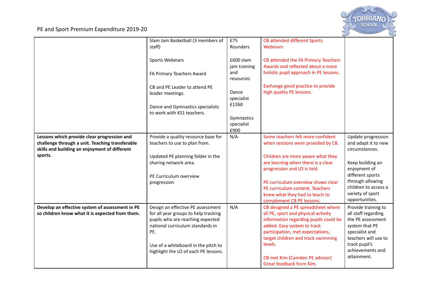

|                                                                                                                                                 | Slam Jam Basketball (3 members of<br>staff)                                                                                                                                                                                             | £75<br>Rounders                  | <b>CB attended different Sports</b><br><b>Webinars</b>                                                                                                                                                                                                                                               |                                                                                                                                                                                 |
|-------------------------------------------------------------------------------------------------------------------------------------------------|-----------------------------------------------------------------------------------------------------------------------------------------------------------------------------------------------------------------------------------------|----------------------------------|------------------------------------------------------------------------------------------------------------------------------------------------------------------------------------------------------------------------------------------------------------------------------------------------------|---------------------------------------------------------------------------------------------------------------------------------------------------------------------------------|
|                                                                                                                                                 |                                                                                                                                                                                                                                         |                                  |                                                                                                                                                                                                                                                                                                      |                                                                                                                                                                                 |
|                                                                                                                                                 | <b>Sports Webinars</b>                                                                                                                                                                                                                  | £600 slam<br>jam training        | CB attended the FA Primary Teachers<br>Awards and reflected about a more                                                                                                                                                                                                                             |                                                                                                                                                                                 |
|                                                                                                                                                 | FA Primary Teachers Award                                                                                                                                                                                                               | and<br>resources                 | holistic pupil approach in PE lessons.                                                                                                                                                                                                                                                               |                                                                                                                                                                                 |
|                                                                                                                                                 | CB and PE Leader to attend PE<br>leader meetings.                                                                                                                                                                                       | Dance<br>specialist              | Exchange good practice to provide<br>high quality PE lessons.                                                                                                                                                                                                                                        |                                                                                                                                                                                 |
|                                                                                                                                                 | Dance and Gymnastics specialists<br>to work with KS1 teachers.                                                                                                                                                                          | £1260                            |                                                                                                                                                                                                                                                                                                      |                                                                                                                                                                                 |
|                                                                                                                                                 |                                                                                                                                                                                                                                         | Gymnastics<br>specialist<br>£900 |                                                                                                                                                                                                                                                                                                      |                                                                                                                                                                                 |
| Lessons which provide clear progression and<br>challenge through a unit. Teaching transferable<br>skills and building an enjoyment of different | Provide a quality resource base for<br>teachers to use to plan from.                                                                                                                                                                    | N/A                              | Some teachers felt more confident<br>when sessions were provided by CB.                                                                                                                                                                                                                              | Update progression<br>and adapt it to new<br>circumstances.                                                                                                                     |
| sports.                                                                                                                                         | Updated PE planning folder in the<br>sharing network area.<br>PE Curriculum overview                                                                                                                                                    |                                  | Children are more aware what they<br>are learning when there is a clear<br>progression and LO is told.                                                                                                                                                                                               | Keep building an<br>enjoyment of<br>different sports                                                                                                                            |
|                                                                                                                                                 | progression                                                                                                                                                                                                                             |                                  | PE curriculum overview shows clear<br>PE curriculum content. Teachers<br>knew what they had to teach to<br>complement CB PE lessons.                                                                                                                                                                 | through allowing<br>children to access a<br>variety of sport<br>opportunities.                                                                                                  |
| Develop an effective system of assessment in PE<br>so children know what it is expected from them.                                              | Design an effective PE assessment<br>for all year groups to help tracking<br>pupils who are reaching expected<br>national curriculum standards in<br>PE.<br>Use of a whiteboard in the pitch to<br>highlight the LO of each PE lessons. | N/A                              | CB designed a PE spreadsheet where<br>all PE, sport and physical activity<br>information regarding pupils could be<br>added. Easy system to track<br>participation, met expectations,<br>target children and track swimming<br>levels.<br>CB met Kim (Camden PE advisor)<br>Great feedback from Kim. | Provide training to<br>all staff regarding<br>the PE assessment<br>system that PE<br>specialist and<br>teachers will use to<br>track pupil's<br>achievements and<br>attainment. |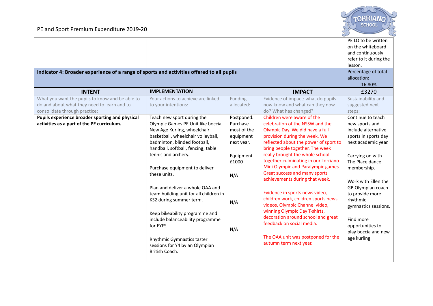

| Indicator 4: Broader experience of a range of sports and activities offered to all pupils<br><b>INTENT</b> | <b>IMPLEMENTATION</b>                                             |                         | <b>IMPACT</b>                                                      | PE LO to be written<br>on the whiteboard<br>and continuously<br>refer to it during the<br>lesson.<br>Percentage of total<br>allocation:<br>16.80%<br>£3270 |
|------------------------------------------------------------------------------------------------------------|-------------------------------------------------------------------|-------------------------|--------------------------------------------------------------------|------------------------------------------------------------------------------------------------------------------------------------------------------------|
| What you want the pupils to know and be able to                                                            | Your actions to achieve are linked                                | Funding                 | Evidence of impact: what do pupils                                 | Sustainability and                                                                                                                                         |
| do and about what they need to learn and to                                                                | to your intentions:                                               | allocated:              | now know and what can they now                                     | suggested next                                                                                                                                             |
| consolidate through practice:                                                                              |                                                                   |                         | do? What has changed?                                              | steps:                                                                                                                                                     |
| Pupils experience broader sporting and physical                                                            | Teach new sport during the                                        | Postponed.              | Children were aware of the                                         | Continue to teach                                                                                                                                          |
| activities as a part of the PE curriculum.                                                                 | Olympic Games PE Unit like boccia,<br>New Age Kurling, wheelchair | Purchase<br>most of the | celebration of the NSSW and the<br>Olympic Day. We did have a full | new sports and<br>include alternative                                                                                                                      |
|                                                                                                            | basketball, wheelchair volleyball,                                | equipment               | provision during the week. We                                      | sports in sports day                                                                                                                                       |
|                                                                                                            | badminton, blinded football,                                      | next year.              | reflected about the power of sport to                              | next academic year.                                                                                                                                        |
|                                                                                                            | handball, softball, fencing, table                                |                         | bring people together. The week                                    |                                                                                                                                                            |
|                                                                                                            | tennis and archery.                                               | Equipment               | really brought the whole school                                    | Carrying on with                                                                                                                                           |
|                                                                                                            |                                                                   | £1000                   | together culminating in our Torriano                               | The Place dance                                                                                                                                            |
|                                                                                                            | Purchase equipment to deliver                                     |                         | Mini Olympic and Paralympic games.                                 | membership.                                                                                                                                                |
|                                                                                                            | these units.                                                      | N/A                     | Great success and many sports                                      |                                                                                                                                                            |
|                                                                                                            |                                                                   |                         | achievements during that week.                                     | Work with Ellen the                                                                                                                                        |
|                                                                                                            | Plan and deliver a whole OAA and                                  |                         | Evidence in sports news video,                                     | GB Olympian coach                                                                                                                                          |
|                                                                                                            | team building unit for all children in                            |                         | children work, children sports news                                | to provide more                                                                                                                                            |
|                                                                                                            | KS2 during summer term.                                           | N/A                     | videos, Olympic Channel video,                                     | rhythmic<br>gymnastics sessions.                                                                                                                           |
|                                                                                                            | Keep bikeability programme and                                    |                         | winning Olympic Day T-shirts,                                      |                                                                                                                                                            |
|                                                                                                            | include balanceability programme                                  |                         | decoration around school and great                                 | Find more                                                                                                                                                  |
|                                                                                                            | for EYFS.                                                         |                         | feedback on social media.                                          | opportunities to                                                                                                                                           |
|                                                                                                            |                                                                   | N/A                     |                                                                    | play boccia and new                                                                                                                                        |
|                                                                                                            | Rhythmic Gymnastics taster                                        |                         | The OAA unit was postponed for the                                 | age kurling.                                                                                                                                               |
|                                                                                                            | sessions for Y4 by an Olympian                                    |                         | autumn term next year.                                             |                                                                                                                                                            |
|                                                                                                            | British Coach.                                                    |                         |                                                                    |                                                                                                                                                            |
|                                                                                                            |                                                                   |                         |                                                                    |                                                                                                                                                            |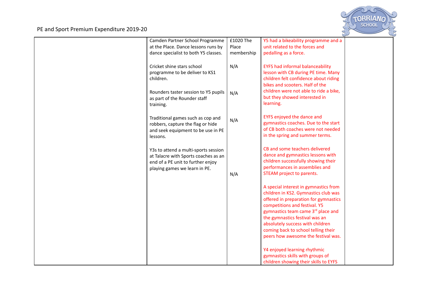

| Camden Partner School Programme      | £1020 The  | Y5 had a bikeability programme and a    |  |
|--------------------------------------|------------|-----------------------------------------|--|
| at the Place. Dance lessons runs by  | Place      | unit related to the forces and          |  |
| dance specialist to both Y5 classes. | membership | pedalling as a force.                   |  |
|                                      |            |                                         |  |
| Cricket shine stars school           | N/A        | <b>EYFS had informal balanceability</b> |  |
| programme to be deliver to KS1       |            | lesson with CB during PE time. Many     |  |
| children.                            |            | children felt confidence about riding   |  |
|                                      |            | bikes and scooters. Half of the         |  |
|                                      |            |                                         |  |
| Rounders taster session to Y5 pupils | N/A        | children were not able to ride a bike,  |  |
| as part of the Rounder staff         |            | but they showed interested in           |  |
| training.                            |            | learning.                               |  |
|                                      |            |                                         |  |
| Traditional games such as cop and    | N/A        | EYFS enjoyed the dance and              |  |
| robbers, capture the flag or hide    |            | gymnastics coaches. Due to the start    |  |
| and seek equipment to be use in PE   |            | of CB both coaches were not needed      |  |
| lessons.                             |            | in the spring and summer terms.         |  |
|                                      |            |                                         |  |
|                                      |            | CB and some teachers delivered          |  |
| Y3s to attend a multi-sports session |            | dance and gymnastics lessons with       |  |
| at Talacre with Sports coaches as an |            | children successfully showing their     |  |
| end of a PE unit to further enjoy    |            | performances in assemblies and          |  |
| playing games we learn in PE.        |            | STEAM project to parents.               |  |
|                                      | N/A        |                                         |  |
|                                      |            |                                         |  |
|                                      |            | A special interest in gymnastics from   |  |
|                                      |            | children in KS2. Gymnastics club was    |  |
|                                      |            | offered in preparation for gymnastics   |  |
|                                      |            | competitions and festival. Y5           |  |
|                                      |            | gymnastics team came 3rd place and      |  |
|                                      |            | the gymnastics festival was an          |  |
|                                      |            | absolutely success with children        |  |
|                                      |            | coming back to school telling their     |  |
|                                      |            | peers how awesome the festival was.     |  |
|                                      |            |                                         |  |
|                                      |            | Y4 enjoyed learning rhythmic            |  |
|                                      |            | gymnastics skills with groups of        |  |
|                                      |            | children showing their skills to EYFS   |  |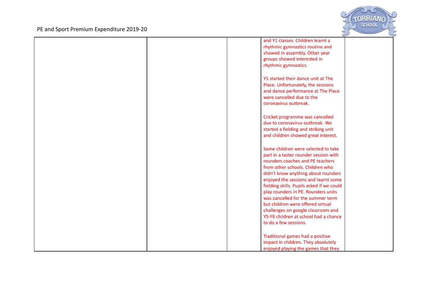

|  | and Y1 classes. Children learnt a         |  |
|--|-------------------------------------------|--|
|  | rhythmic gymnastics routine and           |  |
|  | showed in assembly. Other year            |  |
|  |                                           |  |
|  | groups showed interested in               |  |
|  | rhythmic gymnastics.                      |  |
|  |                                           |  |
|  | Y5 started their dance unit at The        |  |
|  | Place. Unfortunately, the sessions        |  |
|  | and dance performance at The Place        |  |
|  | were cancelled due to the                 |  |
|  |                                           |  |
|  | coronavirus outbreak.                     |  |
|  |                                           |  |
|  | Cricket programme was cancelled           |  |
|  | due to coronavirus outbreak. We           |  |
|  | started a fielding and striking unit      |  |
|  | and children showed great interest.       |  |
|  |                                           |  |
|  |                                           |  |
|  | Some children were selected to take       |  |
|  | part in a taster rounder session with     |  |
|  | rounders coaches and PE teachers          |  |
|  | from other schools. Children who          |  |
|  | didn't know anything about rounders       |  |
|  | enjoyed the sessions and learnt some      |  |
|  | fielding skills. Pupils asked if we could |  |
|  | play rounders in PE. Rounders units       |  |
|  | was cancelled for the summer term         |  |
|  | but children were offered virtual         |  |
|  |                                           |  |
|  | challenges on google classroom and        |  |
|  | Y5-Y6 children at school had a chance     |  |
|  | to do a few sessions.                     |  |
|  |                                           |  |
|  | Traditional games had a positive          |  |
|  | impact in children. They absolutely       |  |
|  | enjoyed playing the games that they       |  |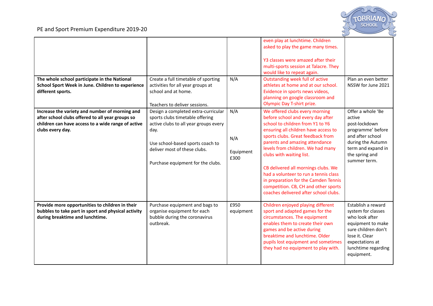

| The whole school participate in the National<br>School Sport Week in June. Children to experience                                                                            | Create a full timetable of sporting<br>activities for all year groups at                                                                                                                                                         | N/A                             | even play at lunchtime. Children<br>asked to play the game many times.<br>Y3 classes were amazed after their<br>multi-sports session at Talacre. They<br>would like to repeat again.<br>Outstanding week full of active<br>athletes at home and at our school.                                                                                                                                                                                                                                   | Plan an even better<br>NSSW for June 2021                                                                                                                                        |
|------------------------------------------------------------------------------------------------------------------------------------------------------------------------------|----------------------------------------------------------------------------------------------------------------------------------------------------------------------------------------------------------------------------------|---------------------------------|--------------------------------------------------------------------------------------------------------------------------------------------------------------------------------------------------------------------------------------------------------------------------------------------------------------------------------------------------------------------------------------------------------------------------------------------------------------------------------------------------|----------------------------------------------------------------------------------------------------------------------------------------------------------------------------------|
| different sports.                                                                                                                                                            | school and at home.<br>Teachers to deliver sessions.                                                                                                                                                                             |                                 | Evidence in sports news videos,<br>planning on google classroom and<br>Olympic Day T-shirt prize.                                                                                                                                                                                                                                                                                                                                                                                                |                                                                                                                                                                                  |
| Increase the variety and number of morning and<br>after school clubs offered to all year groups so<br>children can have access to a wide range of active<br>clubs every day. | Design a completed extra-curricular<br>sports clubs timetable offering<br>active clubs to all year groups every<br>day.<br>Use school-based sports coach to<br>deliver most of these clubs.<br>Purchase equipment for the clubs. | N/A<br>N/A<br>Equipment<br>£300 | We offered clubs every morning<br>before school and every day after<br>school to children from Y1 to Y6<br>ensuring all children have access to<br>sports clubs. Great feedback from<br>parents and amazing attendance<br>levels from children. We had many<br>clubs with waiting list.<br>CB delivered all mornings clubs. We<br>had a volunteer to run a tennis class<br>in preparation for the Camden Tennis<br>competition. CB, CH and other sports<br>coaches delivered after school clubs. | Offer a whole 'Be<br>active<br>post-lockdown<br>programme' before<br>and after school<br>during the Autumn<br>term and expand in<br>the spring and<br>summer term.               |
| Provide more opportunities to children in their<br>bubbles to take part in sport and physical activity<br>during breaktime and lunchtime.                                    | Purchase equipment and bags to<br>organise equipment for each<br>bubble during the coronavirus<br>outbreak.                                                                                                                      | £950<br>equipment               | Children enjoyed playing different<br>sport and adapted games for the<br>circumstances. The equipment<br>enables them to create their own<br>games and be active during<br>breaktime and lunchtime. Older<br>pupils lost equipment and sometimes<br>they had no equipment to play with.                                                                                                                                                                                                          | Establish a reward<br>system for classes<br>who look after<br>equipment to make<br>sure children don't<br>lose it. Clear<br>expectations at<br>lunchtime regarding<br>equipment. |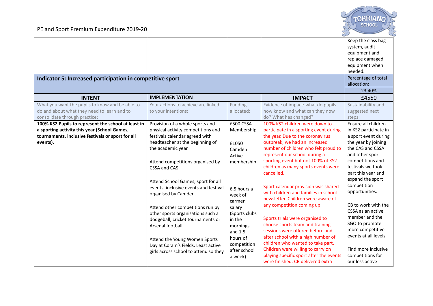

| Indicator 5: Increased participation in competitive sport                                      |                                                               |                       |                                                                              | Keep the class bag<br>system, audit<br>equipment and<br>replace damaged<br>equipment when<br>needed.<br>Percentage of total<br>allocation:<br>23.40% |
|------------------------------------------------------------------------------------------------|---------------------------------------------------------------|-----------------------|------------------------------------------------------------------------------|------------------------------------------------------------------------------------------------------------------------------------------------------|
| <b>INTENT</b>                                                                                  | <b>IMPLEMENTATION</b>                                         |                       | <b>IMPACT</b>                                                                | £4550                                                                                                                                                |
| What you want the pupils to know and be able to<br>do and about what they need to learn and to | Your actions to achieve are linked<br>to your intentions:     | Funding<br>allocated: | Evidence of impact: what do pupils<br>now know and what can they now         | Sustainability and<br>suggested next                                                                                                                 |
| consolidate through practice:                                                                  |                                                               |                       | do? What has changed?                                                        | steps:                                                                                                                                               |
| 100% KS2 Pupils to represent the school at least in                                            | Provision of a whole sports and                               | £500 CSSA             | 100% KS2 children were down to                                               | Ensure all children                                                                                                                                  |
| a sporting activity this year (School Games,                                                   | physical activity competitions and                            | Membership            | participate in a sporting event during                                       | in KS2 participate in                                                                                                                                |
| tournaments, inclusive festivals or sport for all                                              | festivals calendar agreed with                                |                       | the year. Due to the coronavirus                                             | a sport event during                                                                                                                                 |
| events).                                                                                       | headteacher at the beginning of                               | £1050                 | outbreak, we had an increased                                                | the year by joining                                                                                                                                  |
|                                                                                                | the academic year.                                            | Camden                | number of children who felt proud to                                         | the CAS and CSSA                                                                                                                                     |
|                                                                                                |                                                               | Active                | represent our school during a                                                | and other sport                                                                                                                                      |
|                                                                                                | Attend competitions organised by                              | membership            | sporting event but not 100% of KS2<br>children as many sports events were    | competitions and<br>festivals we took                                                                                                                |
|                                                                                                | CSSA and CAS.                                                 |                       | cancelled.                                                                   | part this year and                                                                                                                                   |
|                                                                                                |                                                               |                       |                                                                              | expand the sport                                                                                                                                     |
|                                                                                                | Attend School Games, sport for all                            |                       | Sport calendar provision was shared                                          | competition                                                                                                                                          |
|                                                                                                | events, inclusive events and festival<br>organised by Camden. | 6.5 hours a           | with children and families in school                                         | opportunities.                                                                                                                                       |
|                                                                                                |                                                               | week of               | newsletter. Children were aware of                                           |                                                                                                                                                      |
|                                                                                                | Attend other competitions run by                              | carmen<br>salary      | any competition coming up.                                                   | CB to work with the                                                                                                                                  |
|                                                                                                | other sports organisations such a                             | (Sports clubs         |                                                                              | CSSA as an active                                                                                                                                    |
|                                                                                                | dodgeball, cricket tournaments or                             | in the                | Sports trials were organised to                                              | member and the                                                                                                                                       |
|                                                                                                | Arsenal football.                                             | mornings              | choose sports team and training                                              | SGO to promote                                                                                                                                       |
|                                                                                                |                                                               | and 1.5               | sessions were offered before and                                             | more competitive                                                                                                                                     |
|                                                                                                | Attend the Young Women Sports                                 | hours of              | after school with a high number of                                           | events at all levels.                                                                                                                                |
|                                                                                                | Day at Coram's Fields. Least active                           | competition           | children who wanted to take part.                                            |                                                                                                                                                      |
|                                                                                                | girls across school to attend so they                         | after school          | Children were willing to carry on<br>playing specific sport after the events | Find more inclusive<br>competitions for                                                                                                              |
|                                                                                                |                                                               | a week)               | were finished. CB delivered extra                                            | our less active                                                                                                                                      |
|                                                                                                |                                                               |                       |                                                                              |                                                                                                                                                      |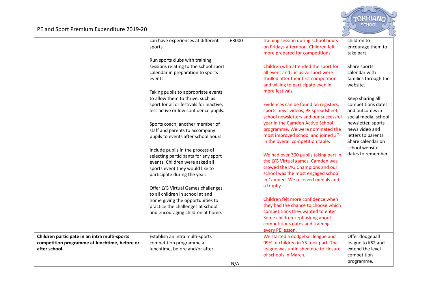

|                                               | can have experiences at different        | £3000 | training session during school hours   | children to          |
|-----------------------------------------------|------------------------------------------|-------|----------------------------------------|----------------------|
|                                               | sports.                                  |       | on Fridays afternoon. Children felt    | encourage them to    |
|                                               |                                          |       | more prepared for competitions.        | take part.           |
|                                               | Run sports clubs with training           |       |                                        |                      |
|                                               | sessions relating to the school sport    |       | Children who attended the sport for    | Share sports         |
|                                               | calendar in preparation to sports        |       | all event and inclusive sport were     | calendar with        |
|                                               | events.                                  |       | thrilled after their first competition | families through the |
|                                               |                                          |       | and willing to participate even in     | website.             |
|                                               |                                          |       | more festivals.                        |                      |
|                                               | Taking pupils to appropriate events      |       |                                        |                      |
|                                               | to allow them to thrive, such as         |       |                                        | Keep sharing all     |
|                                               | sport for all or festivals for inactive, |       | Evidences can be found on registers,   | competitions dates   |
|                                               | less active or low confidence pupils.    |       | sports news videos, PE spreadsheet,    | and outcomes in      |
|                                               |                                          |       | school newsletters and our successful  | social media, school |
|                                               | Sports coach, another member of          |       | year in the Camden Active School       | newsletter, sports   |
|                                               | staff and parents to accompany           |       | programme. We were nominated the       | news video and       |
|                                               | pupils to events after school hours.     |       | most improved school and joined 3rd    | letters to parents.  |
|                                               |                                          |       | in the overall competition table.      | Share calendar on    |
|                                               | Include pupils in the process of         |       |                                        | school website       |
|                                               | selecting participants for any sport     |       | We had over 300 pupils taking part in  | dates to remember.   |
|                                               | events. Children were asked all          |       | the LYG Virtual games. Camden was      |                      |
|                                               | sports event they would like to          |       | crowed the LYG Champions and our       |                      |
|                                               | participate during the year.             |       | school was the most engaged school     |                      |
|                                               |                                          |       | in Camden. We received medals and      |                      |
|                                               | Offer LYG Virtual Games challenges       |       | a trophy.                              |                      |
|                                               | to all children in school at and         |       |                                        |                      |
|                                               | home giving the opportunities to         |       | Children felt more confidence when     |                      |
|                                               | practice the challenges at school        |       | they had the chance to choose which    |                      |
|                                               | and encouraging children at home.        |       | competitions they wanted to enter.     |                      |
|                                               |                                          |       | Some children kept asking about        |                      |
|                                               |                                          |       | competitions dates and training        |                      |
|                                               |                                          |       | every PE lesson.                       |                      |
| Children participate in an intra multi-sports | Establish an intra multi-sports          |       | We started a dodgeball league and      | Offer dodgeball      |
| competition programme at lunchtime, before or | competition programme at                 |       | 99% of children in Y5 took part. The   | league to KS2 and    |
| after school.                                 | lunchtime, before and/or after           |       | league was unfinished due to closure   | extend the level     |
|                                               |                                          |       | of schools in March.                   | competition          |
|                                               |                                          | N/A   |                                        | programme.           |